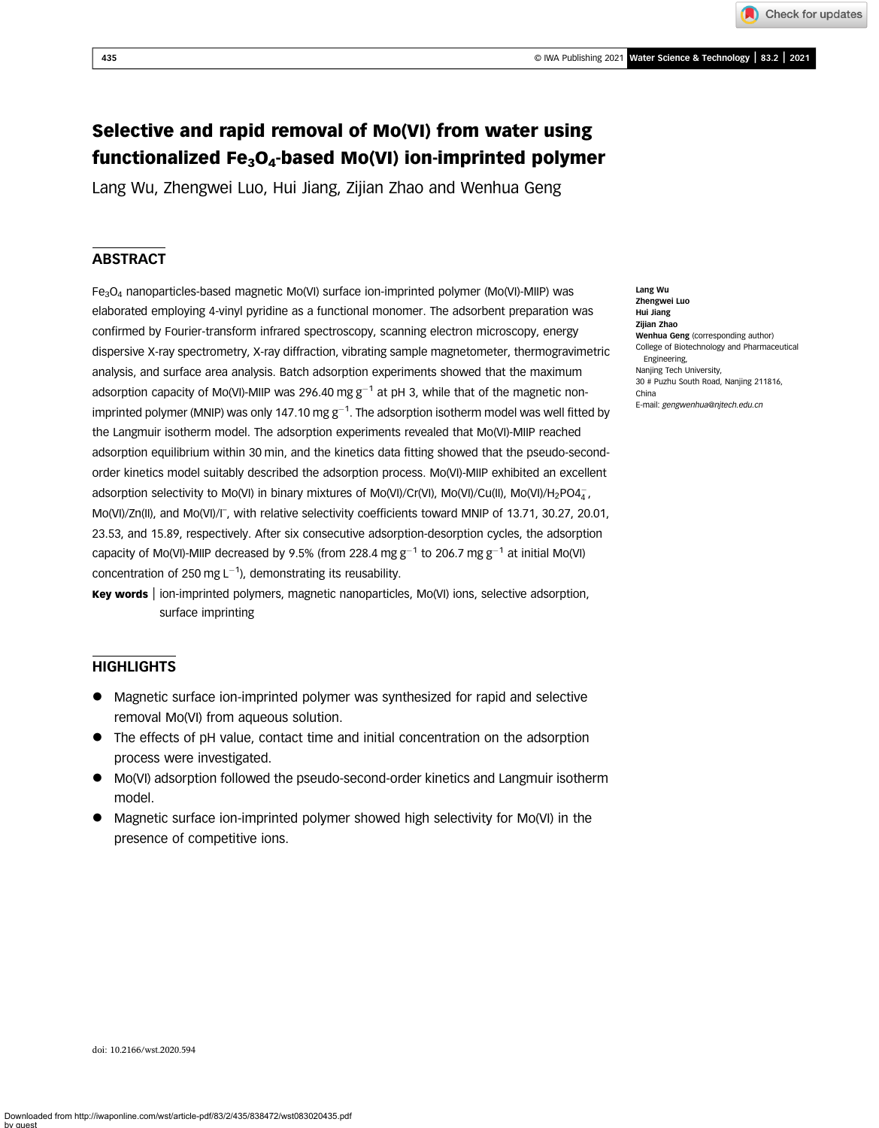Check for updates

# Selective and rapid removal of Mo(VI) from water using functionalized Fe3O4-based Mo(VI) ion-imprinted polymer

Lang Wu, Zhengwei Luo, Hui Jiang, Zijian Zhao and Wenhua Geng

# **ABSTRACT**

 $Fe<sub>3</sub>O<sub>4</sub>$  nanoparticles-based magnetic Mo(VI) surface ion-imprinted polymer (Mo(VI)-MIIP) was elaborated employing 4-vinyl pyridine as a functional monomer. The adsorbent preparation was confirmed by Fourier-transform infrared spectroscopy, scanning electron microscopy, energy dispersive X-ray spectrometry, X-ray diffraction, vibrating sample magnetometer, thermogravimetric analysis, and surface area analysis. Batch adsorption experiments showed that the maximum adsorption capacity of Mo(VI)-MIIP was 296.40 mg  $g^{-1}$  at pH 3, while that of the magnetic nonimprinted polymer (MNIP) was only 147.10 mg g $^{-1}$ . The adsorption isotherm model was well fitted by the Langmuir isotherm model. The adsorption experiments revealed that Mo(VI)-MIIP reached adsorption equilibrium within 30 min, and the kinetics data fitting showed that the pseudo-secondorder kinetics model suitably described the adsorption process. Mo(VI)-MIIP exhibited an excellent adsorption selectivity to Mo(VI) in binary mixtures of Mo(VI)/Cr(VI), Mo(VI)/Cu(II), Mo(VI)/H<sub>2</sub>PO4<del><sub>4</sub></del>, Mo(VI)/Zn(II), and Mo(VI)/I<sup>-</sup>, with relative selectivity coefficients toward MNIP of 13.71, 30.27, 20.01, 23.53, and 15.89, respectively. After six consecutive adsorption-desorption cycles, the adsorption capacity of Mo(VI)-MIIP decreased by 9.5% (from 228.4 mg  $g^{-1}$  to 206.7 mg  $g^{-1}$  at initial Mo(VI) concentration of 250 mg  $L^{-1}$ ), demonstrating its reusability.

Key words | ion-imprinted polymers, magnetic nanoparticles, Mo(VI) ions, selective adsorption, surface imprinting

# **HIGHLIGHTS**

- Magnetic surface ion-imprinted polymer was synthesized for rapid and selective removal Mo(VI) from aqueous solution.
- The effects of pH value, contact time and initial concentration on the adsorption process were investigated.
- Mo(VI) adsorption followed the pseudo-second-order kinetics and Langmuir isotherm model.
- Magnetic surface ion-imprinted polymer showed high selectivity for Mo(VI) in the presence of competitive ions.

Lang Wu Zhengwei Luo Hui Jiang Zijian Zhao Wenhua Geng (corresponding author) College of Biotechnology and Pharmaceutical Engineering, Nanjing Tech University, 30 # Puzhu South Road, Nanjing 211816, China E-mail: [gengwenhua@njtech.edu.cn](mailto:gengwenhua@njtech.edu.cn)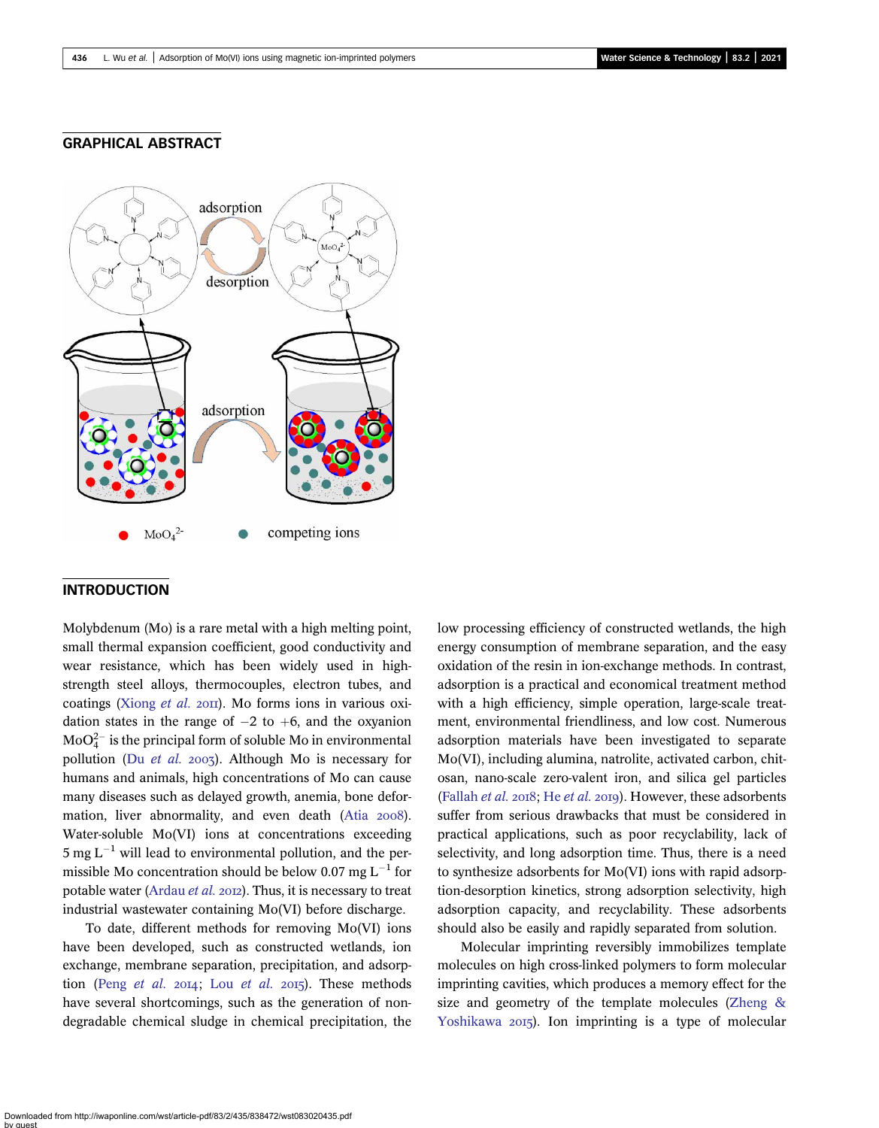### GRAPHICAL ABSTRACT



### INTRODUCTION

Molybdenum (Mo) is a rare metal with a high melting point, small thermal expansion coefficient, good conductivity and wear resistance, which has been widely used in highstrength steel alloys, thermocouples, electron tubes, and coatings ([Xiong](#page-13-0) et al.  $20\text{H}$ ). Mo forms ions in various oxidation states in the range of  $-2$  to  $+6$ , and the oxyanion  $\text{MoO}_4^{2-}$  is the principal form of soluble Mo in environmental pollution (Du [et al.](#page-12-0) 2003). Although Mo is necessary for humans and animals, high concentrations of Mo can cause many diseases such as delayed growth, anemia, bone deformation, liver abnormality, and even death (Atia 2008). Water-soluble Mo(VI) ions at concentrations exceeding  $5 \text{ mg L}^{-1}$  will lead to environmental pollution, and the permissible Mo concentration should be below 0.07 mg  $L^{-1}$  for potable water [\(Ardau](#page-12-0) *et al.* 2012). Thus, it is necessary to treat industrial wastewater containing Mo(VI) before discharge.

To date, different methods for removing Mo(VI) ions have been developed, such as constructed wetlands, ion exchange, membrane separation, precipitation, and adsorption (Peng [et al.](#page-12-0)  $2014$ ; Lou et al.  $2015$ ). These methods have several shortcomings, such as the generation of nondegradable chemical sludge in chemical precipitation, the low processing efficiency of constructed wetlands, the high energy consumption of membrane separation, and the easy oxidation of the resin in ion-exchange methods. In contrast, adsorption is a practical and economical treatment method with a high efficiency, simple operation, large-scale treatment, environmental friendliness, and low cost. Numerous adsorption materials have been investigated to separate Mo(VI), including alumina, natrolite, activated carbon, chitosan, nano-scale zero-valent iron, and silica gel particles ([Fallah](#page-12-0) [et al.](#page-12-0) 2018; He et al. 2019). However, these adsorbents suffer from serious drawbacks that must be considered in practical applications, such as poor recyclability, lack of selectivity, and long adsorption time. Thus, there is a need to synthesize adsorbents for Mo(VI) ions with rapid adsorption-desorption kinetics, strong adsorption selectivity, high adsorption capacity, and recyclability. These adsorbents should also be easily and rapidly separated from solution.

Molecular imprinting reversibly immobilizes template molecules on high cross-linked polymers to form molecular imprinting cavities, which produces a memory effect for the size and geometry of the template molecules [\(Zheng &](#page-13-0) [Yoshikawa](#page-13-0) 2015). Ion imprinting is a type of molecular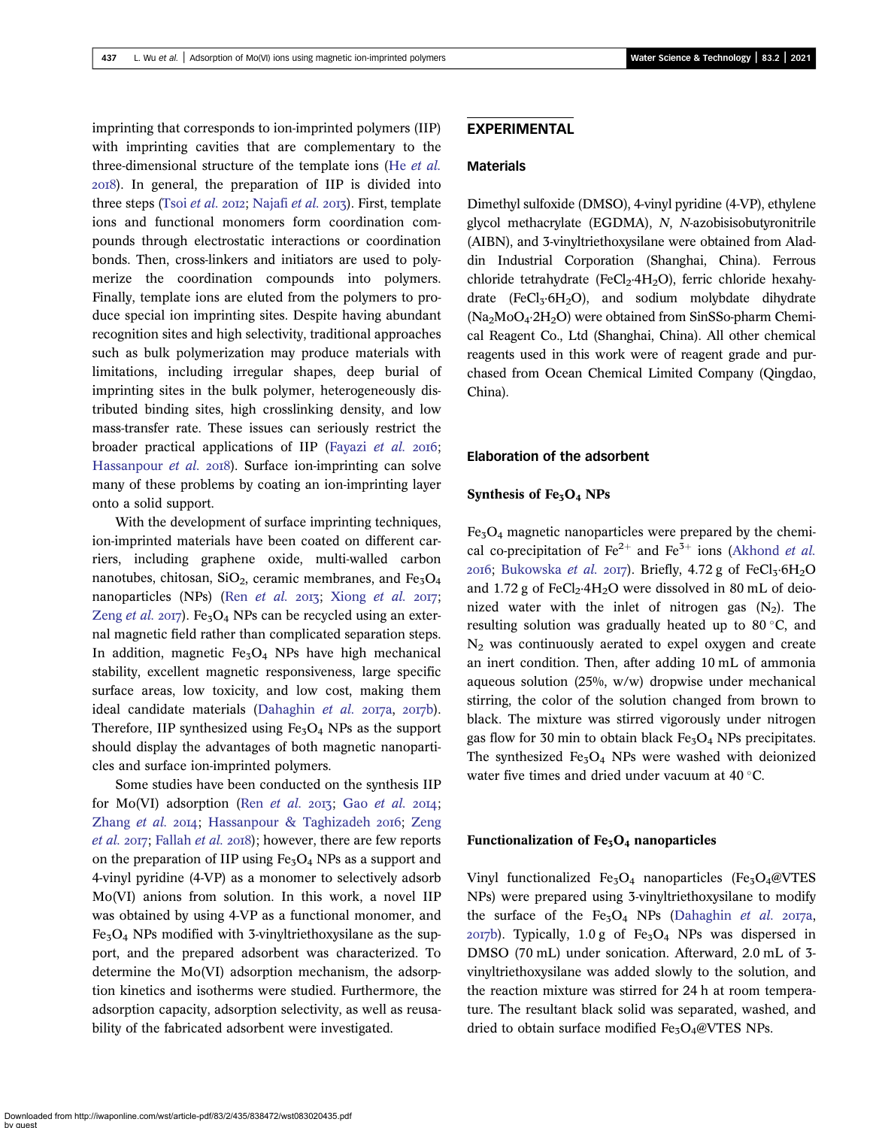imprinting that corresponds to ion-imprinted polymers (IIP) with imprinting cavities that are complementary to the three-dimensional structure of the template ions (He [et al.](#page-12-0) ). In general, the preparation of IIP is divided into three steps (Tsoi [et al.](#page-13-0) 2012; [Najafi](#page-13-0) et al. 2013). First, template ions and functional monomers form coordination compounds through electrostatic interactions or coordination bonds. Then, cross-linkers and initiators are used to polymerize the coordination compounds into polymers. Finally, template ions are eluted from the polymers to produce special ion imprinting sites. Despite having abundant recognition sites and high selectivity, traditional approaches such as bulk polymerization may produce materials with limitations, including irregular shapes, deep burial of imprinting sites in the bulk polymer, heterogeneously distributed binding sites, high crosslinking density, and low mass-transfer rate. These issues can seriously restrict the broader practical applications of IIP [\(Fayazi](#page-12-0) et al. 2016; [Hassanpour](#page-12-0) *et al.* 2018). Surface ion-imprinting can solve many of these problems by coating an ion-imprinting layer onto a solid support.

With the development of surface imprinting techniques, ion-imprinted materials have been coated on different carriers, including graphene oxide, multi-walled carbon nanotubes, chitosan,  $SiO<sub>2</sub>$ , ceramic membranes, and Fe<sub>3</sub>O<sub>4</sub> nanoparticles (NPs) (Ren [et al.](#page-13-0)  $2017$ ; [Xiong](#page-13-0) et al.  $2017$ ; [Zeng](#page-13-0) *et al.* 2017). Fe<sub>3</sub>O<sub>4</sub> NPs can be recycled using an external magnetic field rather than complicated separation steps. In addition, magnetic  $Fe<sub>3</sub>O<sub>4</sub>$  NPs have high mechanical stability, excellent magnetic responsiveness, large specific surface areas, low toxicity, and low cost, making them ideal candidate materials ([Dahaghin](#page-12-0) et al.  $2017a$ ,  $2017b$ ). Therefore, IIP synthesized using  $Fe<sub>3</sub>O<sub>4</sub>$  NPs as the support should display the advantages of both magnetic nanoparticles and surface ion-imprinted polymers.

Some studies have been conducted on the synthesis IIP for Mo(VI) adsorption (Ren [et al.](#page-12-0) 2013; Gao et al. 2014; [Zhang](#page-13-0) et al. 2014; [Hassanpour & Taghizadeh](#page-12-0) 2016; [Zeng](#page-13-0) *[et al.](#page-13-0)*  $2017$ ; [Fallah](#page-12-0) *et al.*  $2018$ ); however, there are few reports on the preparation of IIP using  $Fe<sub>3</sub>O<sub>4</sub>$  NPs as a support and 4-vinyl pyridine (4-VP) as a monomer to selectively adsorb Mo(VI) anions from solution. In this work, a novel IIP was obtained by using 4-VP as a functional monomer, and  $Fe<sub>3</sub>O<sub>4</sub>$  NPs modified with 3-vinyltriethoxysilane as the support, and the prepared adsorbent was characterized. To determine the Mo(VI) adsorption mechanism, the adsorption kinetics and isotherms were studied. Furthermore, the adsorption capacity, adsorption selectivity, as well as reusability of the fabricated adsorbent were investigated.

### EXPERIMENTAL

#### Materials

Dimethyl sulfoxide (DMSO), 4-vinyl pyridine (4-VP), ethylene glycol methacrylate (EGDMA), N, N-azobisisobutyronitrile (AIBN), and 3-vinyltriethoxysilane were obtained from Aladdin Industrial Corporation (Shanghai, China). Ferrous chloride tetrahydrate (FeCl<sub>2</sub>·4H<sub>2</sub>O), ferric chloride hexahydrate (FeCl<sub>3</sub>·6H<sub>2</sub>O), and sodium molybdate dihydrate  $(Na_2MoO_4·2H_2O)$  were obtained from SinSSo-pharm Chemical Reagent Co., Ltd (Shanghai, China). All other chemical reagents used in this work were of reagent grade and purchased from Ocean Chemical Limited Company (Qingdao, China).

### Elaboration of the adsorbent

#### Synthesis of  $Fe<sub>3</sub>O<sub>4</sub>$  NPs

Fe3O4 magnetic nanoparticles were prepared by the chemical co-precipitation of  $\text{Fe}^{2+}$  and  $\text{Fe}^{3+}$  ions ([Akhond](#page-12-0) *et al.*) 2016; [Bukowska](#page-12-0) et al. 2017). Briefly,  $4.72$  g of FeCl<sub>3</sub>·6H<sub>2</sub>O and 1.72 g of  $FeCl<sub>2</sub>·4H<sub>2</sub>O$  were dissolved in 80 mL of deionized water with the inlet of nitrogen gas  $(N_2)$ . The resulting solution was gradually heated up to  $80^{\circ}$ C, and  $N<sub>2</sub>$  was continuously aerated to expel oxygen and create an inert condition. Then, after adding 10 mL of ammonia aqueous solution (25%, w/w) dropwise under mechanical stirring, the color of the solution changed from brown to black. The mixture was stirred vigorously under nitrogen gas flow for 30 min to obtain black  $Fe<sub>3</sub>O<sub>4</sub>$  NPs precipitates. The synthesized  $Fe<sub>3</sub>O<sub>4</sub>$  NPs were washed with deionized water five times and dried under vacuum at  $40^{\circ}$ C.

#### Functionalization of  $Fe<sub>3</sub>O<sub>4</sub>$  nanoparticles

Vinyl functionalized  $Fe<sub>3</sub>O<sub>4</sub>$  nanoparticles (Fe<sub>3</sub>O<sub>4</sub>@VTES NPs) were prepared using 3-vinyltriethoxysilane to modify the surface of the  $Fe<sub>3</sub>O<sub>4</sub>$  NPs ([Dahaghin](#page-12-0) et al. 2017a,  $2017b$ ). Typically, 1.0 g of Fe<sub>3</sub>O<sub>4</sub> NPs was dispersed in DMSO (70 mL) under sonication. Afterward, 2.0 mL of 3 vinyltriethoxysilane was added slowly to the solution, and the reaction mixture was stirred for 24 h at room temperature. The resultant black solid was separated, washed, and dried to obtain surface modified  $Fe<sub>3</sub>O<sub>4</sub>@VTES$  NPs.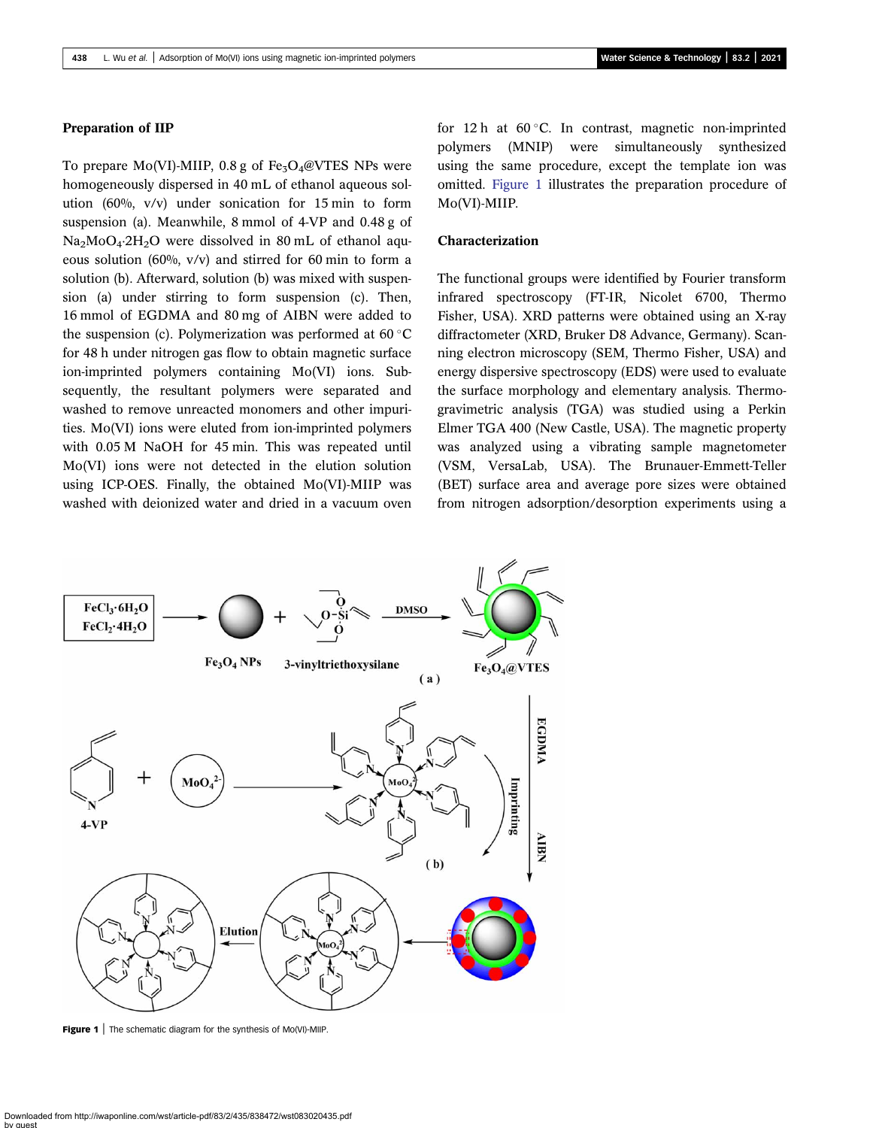#### Preparation of IIP

To prepare Mo(VI)-MIIP,  $0.8$  g of Fe<sub>3</sub>O<sub>4</sub>@VTES NPs were homogeneously dispersed in 40 mL of ethanol aqueous solution (60%, v/v) under sonication for 15 min to form suspension (a). Meanwhile, 8 mmol of 4-VP and 0.48 g of  $Na<sub>2</sub>MoO<sub>4</sub>·2H<sub>2</sub>O$  were dissolved in 80 mL of ethanol aqueous solution (60%, v/v) and stirred for 60 min to form a solution (b). Afterward, solution (b) was mixed with suspension (a) under stirring to form suspension (c). Then, 16 mmol of EGDMA and 80 mg of AIBN were added to the suspension (c). Polymerization was performed at  $60^{\circ}$ C for 48 h under nitrogen gas flow to obtain magnetic surface ion-imprinted polymers containing Mo(VI) ions. Subsequently, the resultant polymers were separated and washed to remove unreacted monomers and other impurities. Mo(VI) ions were eluted from ion-imprinted polymers with 0.05 M NaOH for 45 min. This was repeated until Mo(VI) ions were not detected in the elution solution using ICP-OES. Finally, the obtained Mo(VI)-MIIP was washed with deionized water and dried in a vacuum oven for 12 h at  $60^{\circ}$ C. In contrast, magnetic non-imprinted polymers (MNIP) were simultaneously synthesized using the same procedure, except the template ion was omitted. Figure 1 illustrates the preparation procedure of Mo(VI)-MIIP.

#### Characterization

The functional groups were identified by Fourier transform infrared spectroscopy (FT-IR, Nicolet 6700, Thermo Fisher, USA). XRD patterns were obtained using an X-ray diffractometer (XRD, Bruker D8 Advance, Germany). Scanning electron microscopy (SEM, Thermo Fisher, USA) and energy dispersive spectroscopy (EDS) were used to evaluate the surface morphology and elementary analysis. Thermogravimetric analysis (TGA) was studied using a Perkin Elmer TGA 400 (New Castle, USA). The magnetic property was analyzed using a vibrating sample magnetometer (VSM, VersaLab, USA). The Brunauer-Emmett-Teller (BET) surface area and average pore sizes were obtained from nitrogen adsorption/desorption experiments using a



Figure 1 | The schematic diagram for the synthesis of Mo(VI)-MIIP.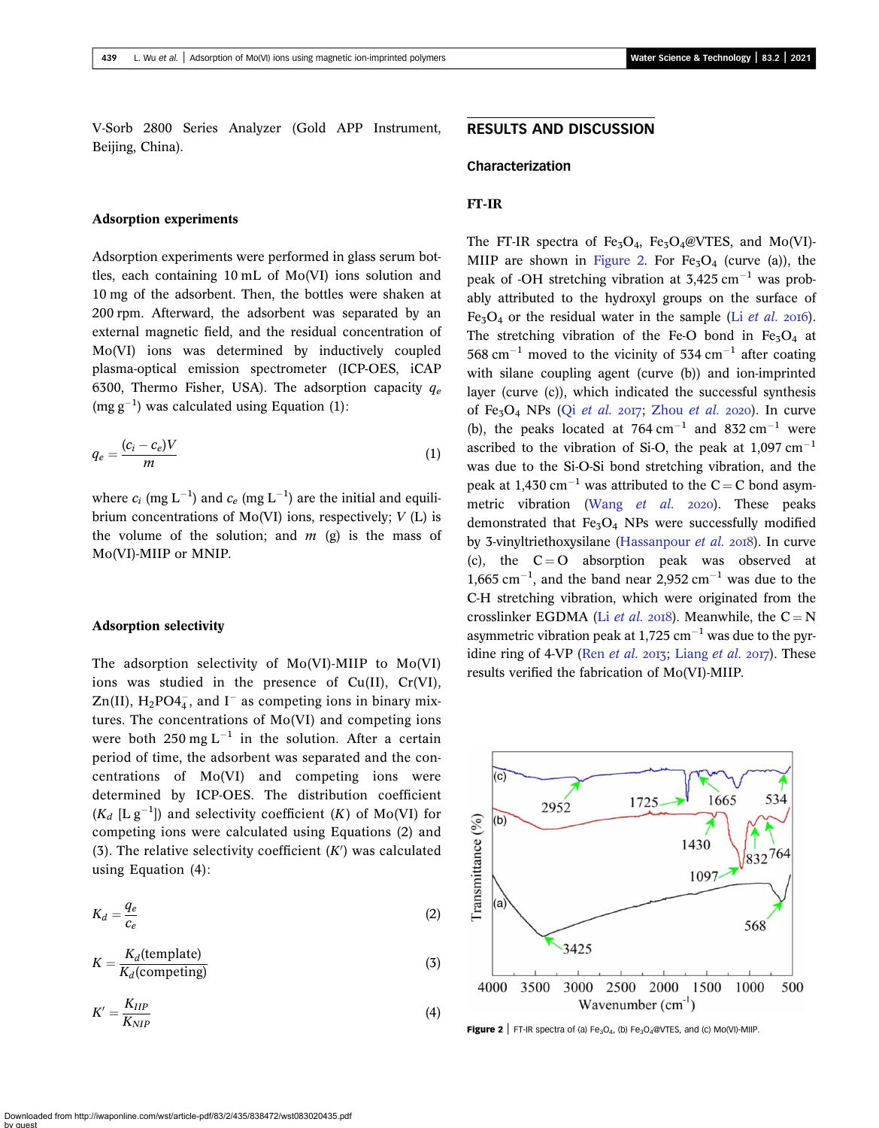V-Sorb 2800 Series Analyzer (Gold APP Instrument, Beijing, China).

### Adsorption experiments

Adsorption experiments were performed in glass serum bottles, each containing 10 mL of Mo(VI) ions solution and 10 mg of the adsorbent. Then, the bottles were shaken at 200 rpm. Afterward, the adsorbent was separated by an external magnetic field, and the residual concentration of Mo(VI) ions was determined by inductively coupled plasma-optical emission spectrometer (ICP-OES, iCAP 6300, Thermo Fisher, USA). The adsorption capacity  $q_e$  $(mg g^{-1})$  was calculated using Equation (1):

$$
q_e = \frac{(c_i - c_e)V}{m} \tag{1}
$$

where  $c_i$  (mg  $L^{-1}$ ) and  $c_e$  (mg  $L^{-1}$ ) are the initial and equilibrium concentrations of  $Mo(VI)$  ions, respectively;  $V(L)$  is the volume of the solution; and  $m$  (g) is the mass of Mo(VI)-MIIP or MNIP.

#### Adsorption selectivity

The adsorption selectivity of Mo(VI)-MIIP to Mo(VI) ions was studied in the presence of Cu(II), Cr(VI),  $\text{Zn(II)}$ , H<sub>2</sub>PO4<sub>4</sub>, and I<sup>-</sup> as competing ions in binary mixtures. The concentrations of Mo(VI) and competing ions were both 250 mg  $L^{-1}$  in the solution. After a certain period of time, the adsorbent was separated and the concentrations of Mo(VI) and competing ions were determined by ICP-OES. The distribution coefficient  $(K_d$  [L g<sup>-1</sup>]) and selectivity coefficient (K) of Mo(VI) for competing ions were calculated using Equations (2) and (3). The relative selectivity coefficient  $(K')$  was calculated using Equation (4):

$$
K_d = \frac{q_e}{c_e} \tag{2}
$$

$$
K = \frac{K_d(\text{template})}{K_d(\text{competing})}
$$
 (3)

$$
K' = \frac{K_{IIP}}{K_{NIP}}\tag{4}
$$

### RESULTS AND DISCUSSION

### Characterization

### FT-IR

The FT-IR spectra of Fe<sub>3</sub>O<sub>4</sub>, Fe<sub>3</sub>O<sub>4</sub>@VTES, and Mo(VI)-MIIP are shown in Figure 2. For  $Fe<sub>5</sub>O<sub>4</sub>$  (curve (a)), the peak of -OH stretching vibration at  $3,425$  cm<sup>-1</sup> was probably attributed to the hydroxyl groups on the surface of Fe<sub>3</sub>O<sub>4</sub> or the residual water in the sample (Li *[et al.](#page-12-0)* 2016). The stretching vibration of the Fe-O bond in  $Fe<sub>3</sub>O<sub>4</sub>$  at 568 cm<sup>-1</sup> moved to the vicinity of 534 cm<sup>-1</sup> after coating with silane coupling agent (curve (b)) and ion-imprinted layer (curve (c)), which indicated the successful synthesis of Fe<sub>3</sub>O<sub>4</sub> NPs (Qi [et al.](#page-13-0) 2017; [Zhou](#page-13-0) et al. 2020). In curve (b), the peaks located at  $764 \text{ cm}^{-1}$  and  $832 \text{ cm}^{-1}$  were ascribed to the vibration of Si-O, the peak at  $1,097$  cm<sup>-1</sup> was due to the Si-O-Si bond stretching vibration, and the peak at 1,430 cm<sup>-1</sup> was attributed to the C = C bond asymmetric vibration (Wang [et al.](#page-13-0) 2020). These peaks demonstrated that  $Fe<sub>3</sub>O<sub>4</sub>$  NPs were successfully modified by 3-vinyltriethoxysilane ([Hassanpour](#page-12-0) et al. 2018). In curve (c), the  $C = O$  absorption peak was observed at  $1,665$  cm<sup>-1</sup>, and the band near 2,952 cm<sup>-1</sup> was due to the C-H stretching vibration, which were originated from the crosslinker EGDMA (Li *[et al.](#page-12-0)* 2018). Meanwhile, the  $C = N$ asymmetric vibration peak at 1,725 cm<sup> $-1$ </sup> was due to the pyridine ring of 4-VP (Ren [et al.](#page-13-0) 2017; [Liang](#page-12-0) et al. 2017). These results verified the fabrication of Mo(VI)-MIIP.



Figure 2 | FT-IR spectra of (a) Fe<sub>3</sub>O<sub>4</sub>, (b) Fe<sub>3</sub>O<sub>4</sub>@VTES, and (c) Mo(VI)-MIIP.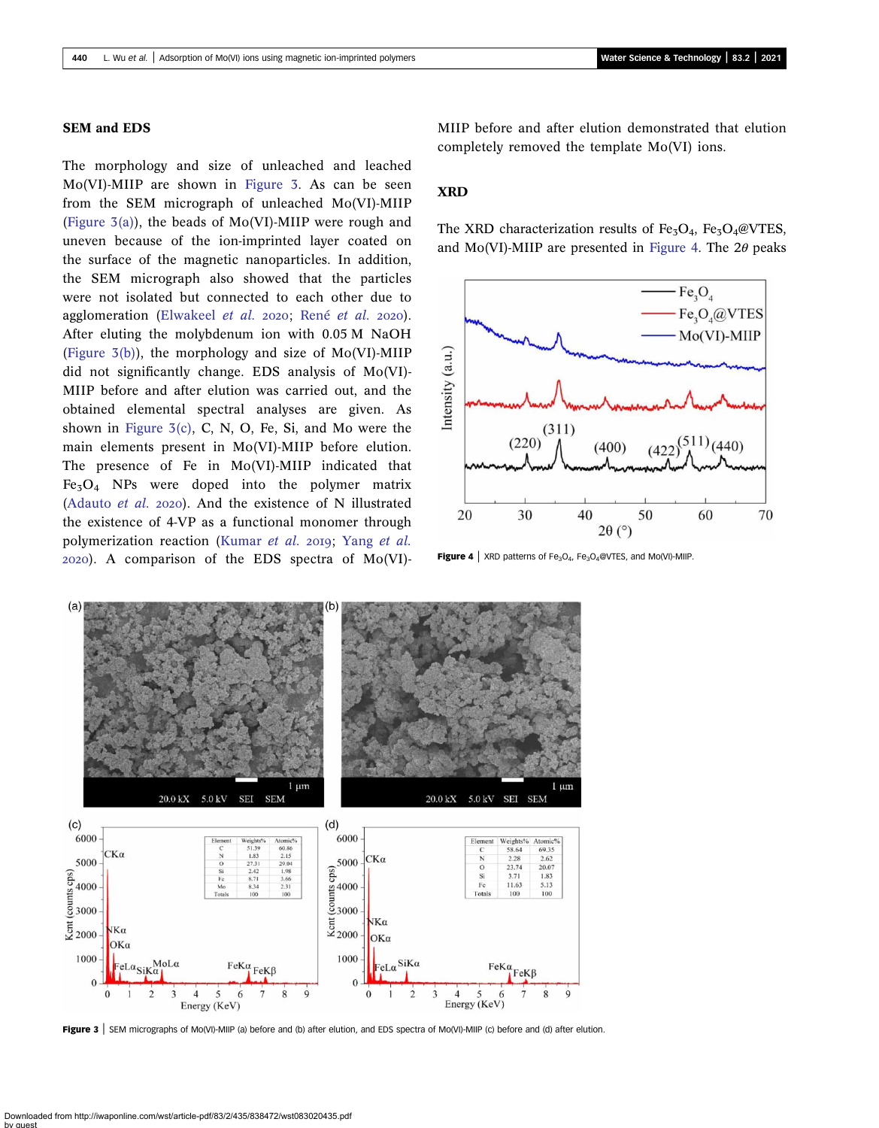#### SEM and EDS

The morphology and size of unleached and leached Mo(VI)-MIIP are shown in Figure 3. As can be seen from the SEM micrograph of unleached Mo(VI)-MIIP (Figure  $3(a)$ ), the beads of Mo(VI)-MIIP were rough and uneven because of the ion-imprinted layer coated on the surface of the magnetic nanoparticles. In addition, the SEM micrograph also showed that the particles were not isolated but connected to each other due to agglomeration [\(Elwakeel](#page-12-0) [et al.](#page-13-0) 2020; René et al. 2020). After eluting the molybdenum ion with 0.05 M NaOH (Figure  $3(b)$ ), the morphology and size of Mo(VI)-MIIP did not significantly change. EDS analysis of Mo(VI)- MIIP before and after elution was carried out, and the obtained elemental spectral analyses are given. As shown in Figure  $3(c)$ , C, N, O, Fe, Si, and Mo were the main elements present in Mo(VI)-MIIP before elution. The presence of Fe in Mo(VI)-MIIP indicated that  $Fe<sub>3</sub>O<sub>4</sub>$  NPs were doped into the polymer matrix ([Adauto](#page-11-0) *et al.* 2020). And the existence of N illustrated the existence of 4-VP as a functional monomer through polymerization reaction ([Kumar](#page-12-0) [et al.](#page-13-0) 2019; Yang et al. ). A comparison of the EDS spectra of Mo(VI)- MIIP before and after elution demonstrated that elution completely removed the template Mo(VI) ions.

### XRD

The XRD characterization results of Fe<sub>3</sub>O<sub>4</sub>, Fe<sub>3</sub>O<sub>4</sub>@VTES, and Mo(VI)-MIIP are presented in Figure 4. The  $2\theta$  peaks



**Figure 4** | XRD patterns of Fe<sub>3</sub>O<sub>4</sub>, Fe<sub>3</sub>O<sub>4</sub>@VTES, and Mo(VI)-MIIP.



Figure 3 | SEM micrographs of Mo(VI)-MIIP (a) before and (b) after elution, and EDS spectra of Mo(VI)-MIIP (c) before and (d) after elution.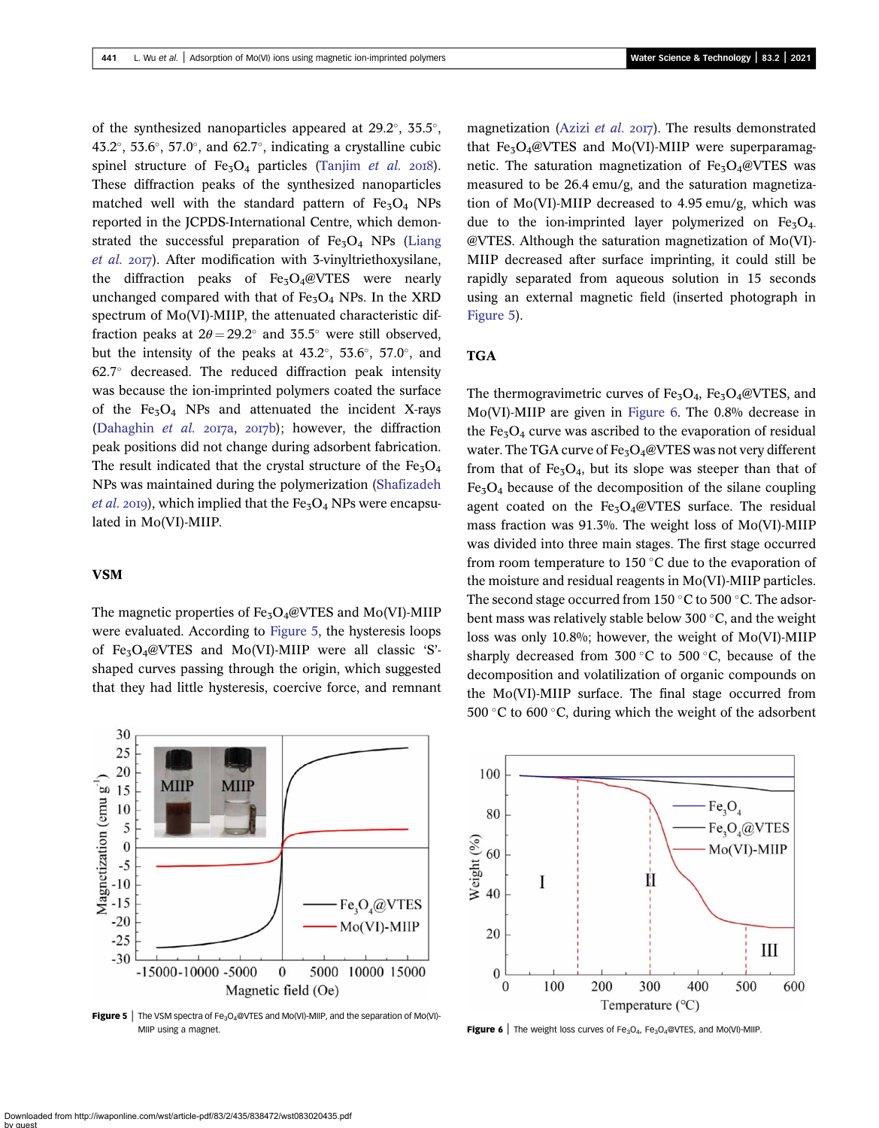of the synthesized nanoparticles appeared at  $29.2^{\circ}$ ,  $35.5^{\circ}$ , 43.2°, 53.6°, 57.0°, and 62.7°, indicating a crystalline cubic spinel structure of  $Fe<sub>3</sub>O<sub>4</sub>$  particles ([Tanjim](#page-13-0) et al. 2018). These diffraction peaks of the synthesized nanoparticles matched well with the standard pattern of  $Fe<sub>3</sub>O<sub>4</sub>$  NPs reported in the JCPDS-International Centre, which demonstrated the successful preparation of  $Fe<sub>3</sub>O<sub>4</sub>$  NPs ([Liang](#page-12-0) [et al.](#page-12-0) 2017). After modification with 3-vinyltriethoxysilane, the diffraction peaks of  $Fe<sub>3</sub>O<sub>4</sub>@VTES$  were nearly unchanged compared with that of  $Fe<sub>3</sub>O<sub>4</sub>$  NPs. In the XRD spectrum of Mo(VI)-MIIP, the attenuated characteristic diffraction peaks at  $2\theta = 29.2^{\circ}$  and  $35.5^{\circ}$  were still observed, but the intensity of the peaks at  $43.2^{\circ}$ ,  $53.6^{\circ}$ ,  $57.0^{\circ}$ , and  $62.7^\circ$  decreased. The reduced diffraction peak intensity was because the ion-imprinted polymers coated the surface of the  $Fe<sub>3</sub>O<sub>4</sub>$  NPs and attenuated the incident X-rays [\(Dahaghin](#page-12-0) et al.  $2017a$ ,  $2017b$ ); however, the diffraction peak positions did not change during adsorbent fabrication. The result indicated that the crystal structure of the  $Fe<sub>3</sub>O<sub>4</sub>$ NPs was maintained during the polymerization [\(Shafizadeh](#page-13-0) *[et al.](#page-13-0)* 2019), which implied that the  $Fe<sub>3</sub>O<sub>4</sub>$  NPs were encapsulated in Mo(VI)-MIIP.

#### VSM

The magnetic properties of  $Fe<sub>3</sub>O<sub>4</sub>@VTES$  and Mo(VI)-MIIP were evaluated. According to Figure 5, the hysteresis loops of Fe<sub>3</sub>O<sub>4</sub>@VTES and Mo(VI)-MIIP were all classic 'S'shaped curves passing through the origin, which suggested that they had little hysteresis, coercive force, and remnant



**Figure 5** | The VSM spectra of Fe<sub>3</sub>O<sub>4</sub>@VTES and Mo(VI)-MIIP, and the separation of Mo(VI)-MIIP using a magnet.  $\blacksquare$  Figure 6 | The weight loss curves of Fe<sub>3</sub>O<sub>4</sub>, Fe<sub>3</sub>O<sub>4</sub>@VTES, and Mo(VI)-MIIP.

magnetization [\(Azizi](#page-12-0) et al.  $2017$ ). The results demonstrated that  $Fe<sub>3</sub>O<sub>4</sub>@VTES$  and Mo(VI)-MIIP were superparamagnetic. The saturation magnetization of  $Fe<sub>3</sub>O<sub>4</sub>@VTES$  was measured to be 26.4 emu/g, and the saturation magnetization of Mo(VI)-MIIP decreased to 4.95 emu/g, which was due to the ion-imprinted layer polymerized on  $Fe<sub>3</sub>O<sub>4</sub>$ . @VTES. Although the saturation magnetization of Mo(VI)- MIIP decreased after surface imprinting, it could still be rapidly separated from aqueous solution in 15 seconds using an external magnetic field (inserted photograph in Figure 5).

### **TGA**

The thermogravimetric curves of  $Fe<sub>3</sub>O<sub>4</sub>$ ,  $Fe<sub>3</sub>O<sub>4</sub>$ @VTES, and Mo(VI)-MIIP are given in Figure 6. The 0.8% decrease in the  $Fe<sub>3</sub>O<sub>4</sub>$  curve was ascribed to the evaporation of residual water. The TGA curve of  $Fe<sub>3</sub>O<sub>4</sub>@VTES$  was not very different from that of  $Fe<sub>3</sub>O<sub>4</sub>$ , but its slope was steeper than that of  $Fe<sub>3</sub>O<sub>4</sub>$  because of the decomposition of the silane coupling agent coated on the  $Fe<sub>3</sub>O<sub>4</sub>@VTES$  surface. The residual mass fraction was 91.3%. The weight loss of Mo(VI)-MIIP was divided into three main stages. The first stage occurred from room temperature to 150 $\degree$ C due to the evaporation of the moisture and residual reagents in Mo(VI)-MIIP particles. The second stage occurred from 150  $\degree$ C to 500  $\degree$ C. The adsorbent mass was relatively stable below 300 $\degree$ C, and the weight loss was only 10.8%; however, the weight of Mo(VI)-MIIP sharply decreased from  $300\degree C$  to  $500\degree C$ , because of the decomposition and volatilization of organic compounds on the Mo(VI)-MIIP surface. The final stage occurred from 500 °C to 600 °C, during which the weight of the adsorbent

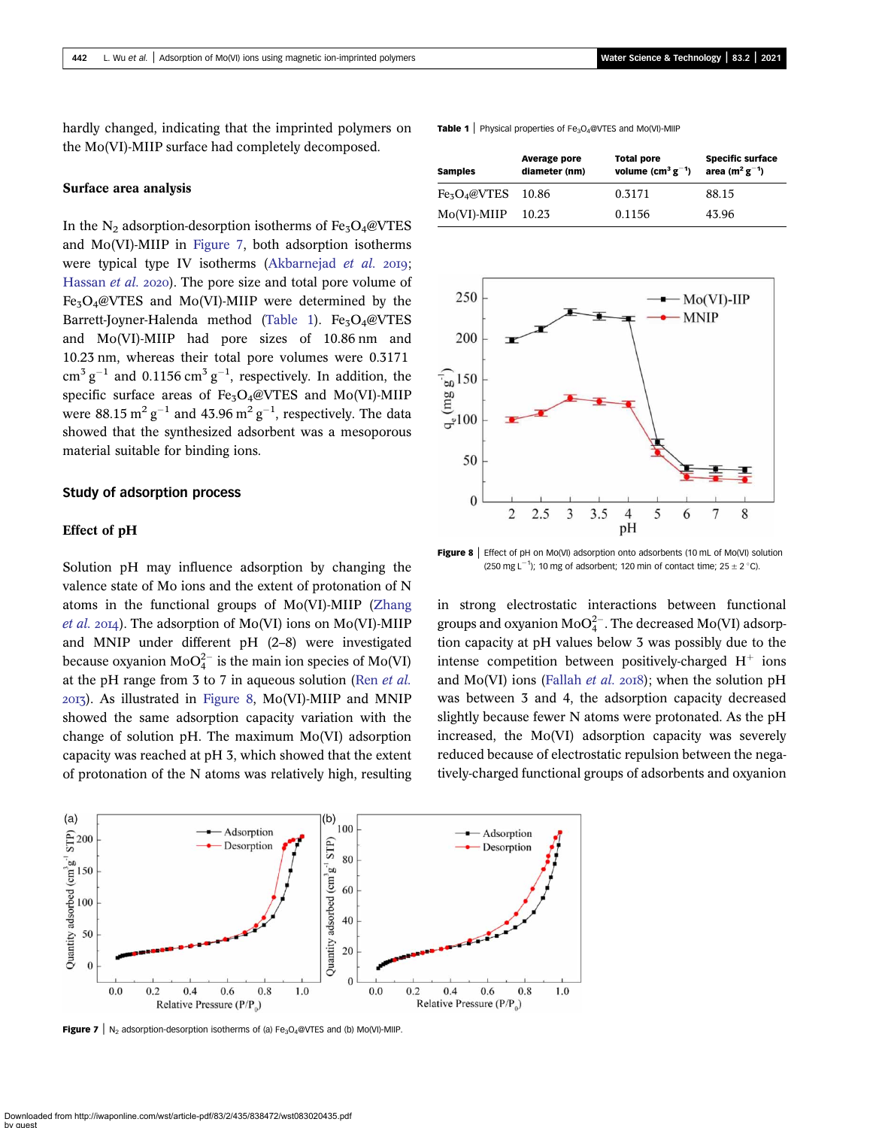hardly changed, indicating that the imprinted polymers on the Mo(VI)-MIIP surface had completely decomposed.

#### Surface area analysis

In the  $N_2$  adsorption-desorption isotherms of Fe<sub>3</sub>O<sub>4</sub>@VTES and Mo(VI)-MIIP in Figure 7, both adsorption isotherms were typical type IV isotherms ([Akbarnejad](#page-12-0) et al. 2019; [Hassan](#page-12-0) et al. 2020). The pore size and total pore volume of  $Fe<sub>3</sub>O<sub>4</sub>@VTES$  and Mo(VI)-MIIP were determined by the Barrett-Joyner-Halenda method (Table 1). Fe<sub>3</sub>O<sub>4</sub>@VTES and Mo(VI)-MIIP had pore sizes of 10.86 nm and 10.23 nm, whereas their total pore volumes were 0.3171  $\text{cm}^3 \text{ g}^{-1}$  and 0.1156  $\text{cm}^3 \text{ g}^{-1}$ , respectively. In addition, the specific surface areas of  $Fe<sub>3</sub>O<sub>4</sub>@VTES$  and Mo(VI)-MIIP were 88.15  $\mathrm{m^2\,g^{-1}}$  and 43.96  $\mathrm{m^2\,g^{-1}}$ , respectively. The data showed that the synthesized adsorbent was a mesoporous material suitable for binding ions.

#### Study of adsorption process

#### Effect of pH

Solution pH may influence adsorption by changing the valence state of Mo ions and the extent of protonation of N atoms in the functional groups of Mo(VI)-MIIP [\(Zhang](#page-13-0) *[et al.](#page-13-0)* 2014). The adsorption of Mo(VI) ions on Mo(VI)-MIIP and MNIP under different pH (2–8) were investigated because oxyanion  $\text{MoO}_4^{2-}$  is the main ion species of Mo(VI) at the pH range from 3 to 7 in aqueous solution (Ren [et al.](#page-13-0) ). As illustrated in Figure 8, Mo(VI)-MIIP and MNIP showed the same adsorption capacity variation with the change of solution pH. The maximum Mo(VI) adsorption capacity was reached at pH 3, which showed that the extent of protonation of the N atoms was relatively high, resulting





**Figure 8** | Effect of pH on Mo(VI) adsorption onto adsorbents (10 mL of Mo(VI) solution (250 mg  $L^{-1}$ ); 10 mg of adsorbent; 120 min of contact time; 25  $\pm$  2 °C).

in strong electrostatic interactions between functional groups and oxyanion  $\text{MoO}_4^{2-}$ . The decreased Mo(VI) adsorption capacity at pH values below 3 was possibly due to the intense competition between positively-charged  $H^+$  ions and Mo(VI) ions [\(Fallah](#page-12-0) et al. 2018); when the solution pH was between 3 and 4, the adsorption capacity decreased slightly because fewer N atoms were protonated. As the pH increased, the Mo(VI) adsorption capacity was severely reduced because of electrostatic repulsion between the negatively-charged functional groups of adsorbents and oxyanion



**Figure 7** |  $N_2$  adsorption-desorption isotherms of (a) Fe<sub>3</sub>O<sub>4</sub>@VTES and (b) Mo(VI)-MIIP.

**Table 1** | Physical properties of  $Fe_3O_4@VTES$  and Mo(VI)-MIIP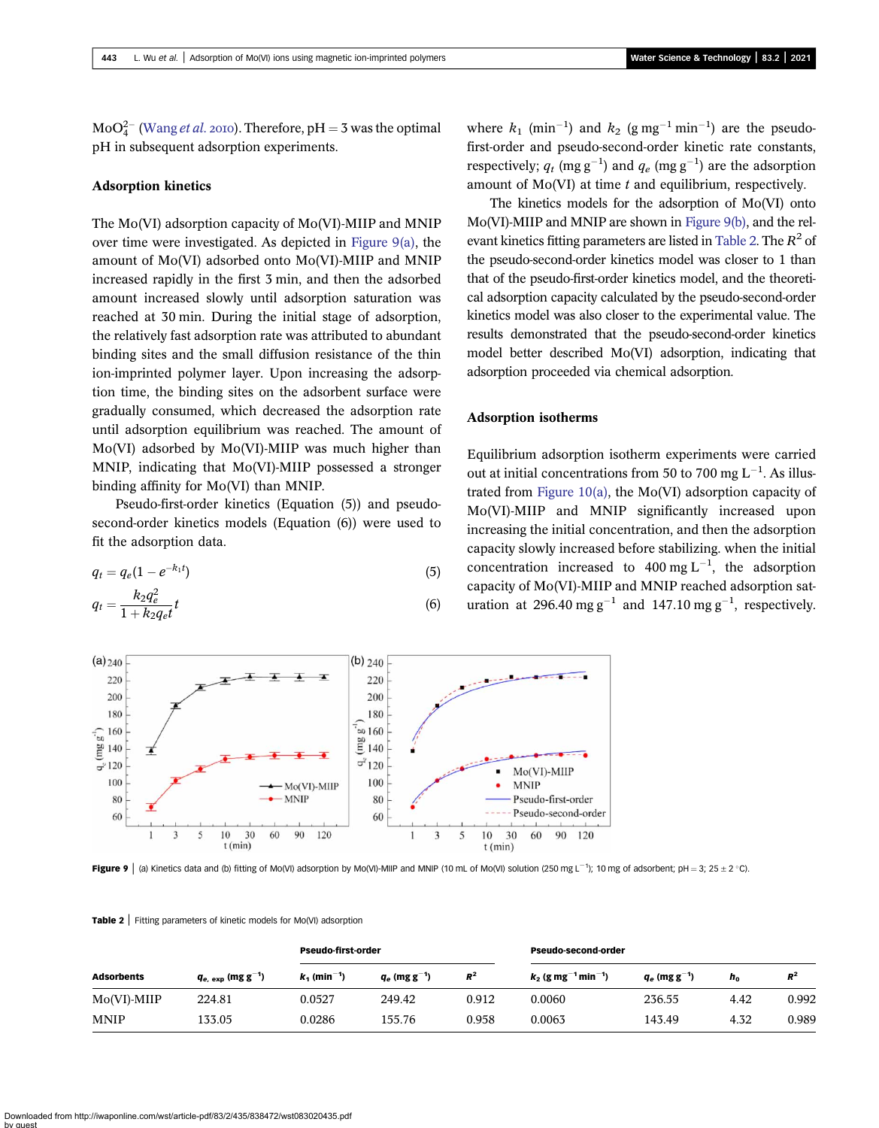$\text{MoO}_4^{2-}$  [\(Wang](#page-13-0) *et al.* 2010). Therefore, pH = 3 was the optimal pH in subsequent adsorption experiments.

#### Adsorption kinetics

The Mo(VI) adsorption capacity of Mo(VI)-MIIP and MNIP over time were investigated. As depicted in Figure 9(a), the amount of Mo(VI) adsorbed onto Mo(VI)-MIIP and MNIP increased rapidly in the first 3 min, and then the adsorbed amount increased slowly until adsorption saturation was reached at 30 min. During the initial stage of adsorption, the relatively fast adsorption rate was attributed to abundant binding sites and the small diffusion resistance of the thin ion-imprinted polymer layer. Upon increasing the adsorption time, the binding sites on the adsorbent surface were gradually consumed, which decreased the adsorption rate until adsorption equilibrium was reached. The amount of Mo(VI) adsorbed by Mo(VI)-MIIP was much higher than MNIP, indicating that Mo(VI)-MIIP possessed a stronger binding affinity for Mo(VI) than MNIP.

Pseudo-first-order kinetics (Equation (5)) and pseudosecond-order kinetics models (Equation (6)) were used to fit the adsorption data.

$$
q_t = q_e (1 - e^{-k_1 t})
$$
\n(5)

$$
q_t = \frac{k_2 q_e^2}{1 + k_2 q_e t} t \tag{6}
$$

where  $k_1$  (min<sup>-1</sup>) and  $k_2$  (g mg<sup>-1</sup> min<sup>-1</sup>) are the pseudofirst-order and pseudo-second-order kinetic rate constants, respectively;  $q_t$  (mg g<sup>-1</sup>) and  $q_e$  (mg g<sup>-1</sup>) are the adsorption amount of  $Mo(VI)$  at time  $t$  and equilibrium, respectively.

The kinetics models for the adsorption of Mo(VI) onto Mo(VI)-MIIP and MNIP are shown in Figure 9(b), and the relevant kinetics fitting parameters are listed in Table 2. The  $R^2$  of the pseudo-second-order kinetics model was closer to 1 than that of the pseudo-first-order kinetics model, and the theoretical adsorption capacity calculated by the pseudo-second-order kinetics model was also closer to the experimental value. The results demonstrated that the pseudo-second-order kinetics model better described Mo(VI) adsorption, indicating that adsorption proceeded via chemical adsorption.

#### Adsorption isotherms

Equilibrium adsorption isotherm experiments were carried out at initial concentrations from 50 to 700 mg  $L^{-1}$ . As illustrated from [Figure 10\(a\),](#page-9-0) the Mo(VI) adsorption capacity of Mo(VI)-MIIP and MNIP significantly increased upon increasing the initial concentration, and then the adsorption capacity slowly increased before stabilizing. when the initial concentration increased to 400 mg  $L^{-1}$ , the adsorption capacity of Mo(VI)-MIIP and MNIP reached adsorption saturation at 296.40 mg  $g^{-1}$  and 147.10 mg  $g^{-1}$ , respectively.



**Figure 9** | (a) Kinetics data and (b) fitting of Mo(VI) adsorption by Mo(VI)-MIIP and MNIP (10 mL of Mo(VI) solution (250 mg L<sup>-1</sup>); 10 mg of adsorbent; pH = 3; 25 ± 2 °C).

#### Table 2 | Fitting parameters of kinetic models for Mo(VI) adsorption

|                   | $q_{e.~exp}$ (mg g <sup>-1</sup> ) | <b>Pseudo-first-order</b>  |                             |       | <b>Pseudo-second-order</b>                    |                             |         |       |
|-------------------|------------------------------------|----------------------------|-----------------------------|-------|-----------------------------------------------|-----------------------------|---------|-------|
| <b>Adsorbents</b> |                                    | $k_1$ (min <sup>-1</sup> ) | $q_e$ (mg g <sup>-1</sup> ) | $R^2$ | $k_2$ (g mg <sup>-1</sup> min <sup>-1</sup> ) | $q_e$ (mg g <sup>-1</sup> ) | $h_{0}$ | $R^2$ |
| $Mo(VI)$ -MIIP    | 224.81                             | 0.0527                     | 249.42                      | 0.912 | 0.0060                                        | 236.55                      | 4.42    | 0.992 |
| <b>MNIP</b>       | 133.05                             | 0.0286                     | 155.76                      | 0.958 | 0.0063                                        | 143.49                      | 4.32    | 0.989 |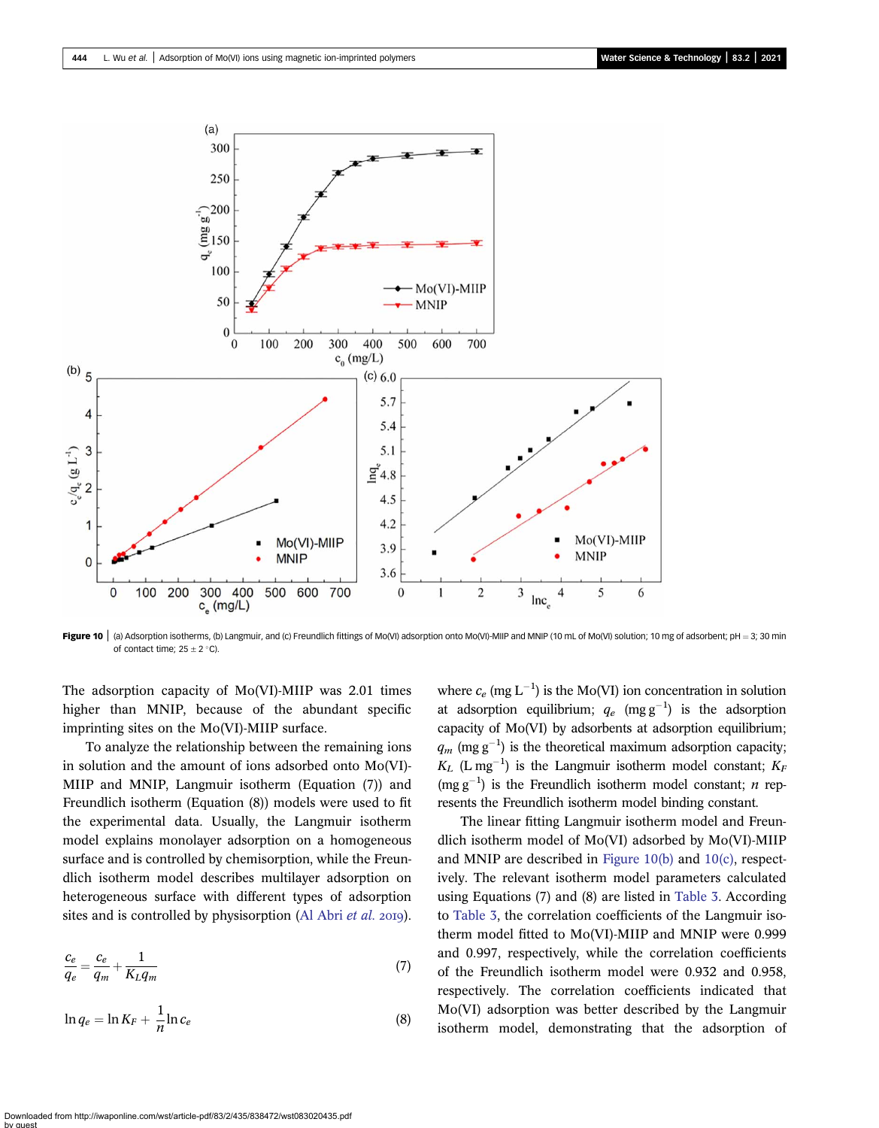<span id="page-9-0"></span>

Figure 10  $\mid$  (a) Adsorption isotherms, (b) Langmuir, and (c) Freundlich fittings of Mo(VI) adsorption onto Mo(VI)-MIIP and MNIP (10 mL of Mo(VI) solution; 10 mg of adsorbent; pH = 3; 30 min of contact time;  $25 \pm 2$  °C).

The adsorption capacity of Mo(VI)-MIIP was 2.01 times higher than MNIP, because of the abundant specific imprinting sites on the Mo(VI)-MIIP surface.

To analyze the relationship between the remaining ions in solution and the amount of ions adsorbed onto Mo(VI)- MIIP and MNIP, Langmuir isotherm (Equation (7)) and Freundlich isotherm (Equation (8)) models were used to fit the experimental data. Usually, the Langmuir isotherm model explains monolayer adsorption on a homogeneous surface and is controlled by chemisorption, while the Freundlich isotherm model describes multilayer adsorption on heterogeneous surface with different types of adsorption sites and is controlled by physisorption ([Al Abri](#page-12-0) *et al.* 2019).

$$
\frac{c_e}{q_e} = \frac{c_e}{q_m} + \frac{1}{K_L q_m} \tag{7}
$$

$$
\ln q_e = \ln K_F + \frac{1}{n} \ln c_e \tag{8}
$$

where  $c_e$  (mg L<sup>-1</sup>) is the Mo(VI) ion concentration in solution at adsorption equilibrium;  $q_e$  (mg g<sup>-1</sup>) is the adsorption capacity of Mo(VI) by adsorbents at adsorption equilibrium;  $q_m$  (mg g<sup>-1</sup>) is the theoretical maximum adsorption capacity;  $K_L$  (L mg<sup>-1</sup>) is the Langmuir isotherm model constant;  $K_F$  $(mg g^{-1})$  is the Freundlich isotherm model constant; *n* represents the Freundlich isotherm model binding constant.

The linear fitting Langmuir isotherm model and Freundlich isotherm model of Mo(VI) adsorbed by Mo(VI)-MIIP and MNIP are described in Figure 10(b) and 10(c), respectively. The relevant isotherm model parameters calculated using Equations (7) and (8) are listed in [Table 3](#page-10-0). According to [Table 3,](#page-10-0) the correlation coefficients of the Langmuir isotherm model fitted to Mo(VI)-MIIP and MNIP were 0.999 and 0.997, respectively, while the correlation coefficients of the Freundlich isotherm model were 0.932 and 0.958, respectively. The correlation coefficients indicated that Mo(VI) adsorption was better described by the Langmuir isotherm model, demonstrating that the adsorption of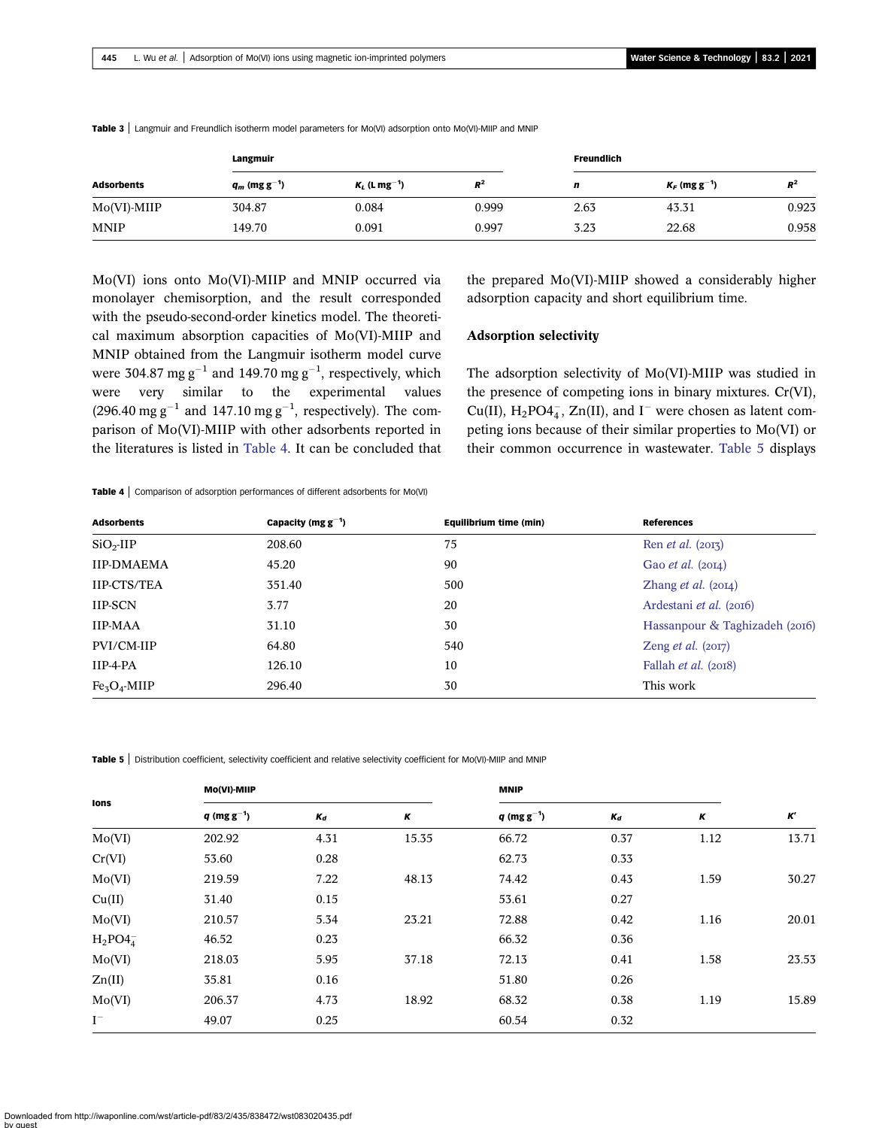|                   | Langmuir                    |                             |       | <b>Freundlich</b> |                             |       |  |
|-------------------|-----------------------------|-----------------------------|-------|-------------------|-----------------------------|-------|--|
| <b>Adsorbents</b> | $q_m$ (mg g <sup>-1</sup> ) | $K_L$ (L mg <sup>-1</sup> ) | $R^2$ | n                 | $K_F$ (mg g <sup>-1</sup> ) | $R^2$ |  |
| $Mo(VI)$ -MIIP    | 304.87                      | 0.084                       | 0.999 | 2.63              | 43.31                       | 0.923 |  |
| <b>MNIP</b>       | 149.70                      | 0.091                       | 0.997 | 3.23              | 22.68                       | 0.958 |  |

<span id="page-10-0"></span>Table 3 | Langmuir and Freundlich isotherm model parameters for Mo(VI) adsorption onto Mo(VI)-MIIP and MNIP

Mo(VI) ions onto Mo(VI)-MIIP and MNIP occurred via monolayer chemisorption, and the result corresponded with the pseudo-second-order kinetics model. The theoretical maximum absorption capacities of Mo(VI)-MIIP and MNIP obtained from the Langmuir isotherm model curve were 304.87  $\text{mg}\,\text{g}^{-1}$  and 149.70  $\text{mg}\,\text{g}^{-1}$ , respectively, which were very similar to the experimental values (296.40 mg  $g^{-1}$  and 147.10 mg  $g^{-1}$ , respectively). The comparison of Mo(VI)-MIIP with other adsorbents reported in the literatures is listed in Table 4. It can be concluded that

the prepared Mo(VI)-MIIP showed a considerably higher adsorption capacity and short equilibrium time.

#### Adsorption selectivity

The adsorption selectivity of Mo(VI)-MIIP was studied in the presence of competing ions in binary mixtures. Cr(VI),  $Cu(II)$ ,  $H_2PO4<sub>4</sub><sup>-</sup>$ ,  $Zn(II)$ , and I<sup>-</sup> were chosen as latent competing ions because of their similar properties to Mo(VI) or their common occurrence in wastewater. Table 5 displays

Table 4 | Comparison of adsorption performances of different adsorbents for Mo(VI)

| <b>Adsorbents</b>  | Capacity ( $mg g^{-1}$ ) | Equilibrium time (min) | <b>References</b>              |
|--------------------|--------------------------|------------------------|--------------------------------|
| $SiO2-IIP$         | 208.60                   | 75                     | Ren <i>et al.</i> (2013)       |
| <b>IIP-DMAEMA</b>  | 45.20                    | 90                     | Gao <i>et al.</i> $(20I4)$     |
| <b>IIP-CTS/TEA</b> | 351.40                   | 500                    | Zhang <i>et al.</i> $(20I4)$   |
| <b>IIP-SCN</b>     | 3.77                     | 20                     | Ardestani <i>et al.</i> (2016) |
| <b>IIP-MAA</b>     | 31.10                    | 30                     | Hassanpour & Taghizadeh (2016) |
| PVI/CM-IIP         | 64.80                    | 540                    | Zeng <i>et al.</i> $(20I7)$    |
| $IIP-4-PA$         | 126.10                   | 10                     | Fallah <i>et al.</i> (2018)    |
| $Fe3O4$ -MIIP      | 296.40                   | 30                     | This work                      |

Table 5 | Distribution coefficient, selectivity coefficient and relative selectivity coefficient for Mo(VI)-MIIP and MNIP

| lons         | Mo(VI)-MIIP               |       |       | <b>MNIP</b>               |       |      |       |
|--------------|---------------------------|-------|-------|---------------------------|-------|------|-------|
|              | $q \, (\text{mg g}^{-1})$ | $K_d$ | Κ     | $q \, (\text{mg g}^{-1})$ | $K_d$ | К    | K'    |
| Mo(VI)       | 202.92                    | 4.31  | 15.35 | 66.72                     | 0.37  | 1.12 | 13.71 |
| Cr(VI)       | 53.60                     | 0.28  |       | 62.73                     | 0.33  |      |       |
| Mo(VI)       | 219.59                    | 7.22  | 48.13 | 74.42                     | 0.43  | 1.59 | 30.27 |
| Cu(II)       | 31.40                     | 0.15  |       | 53.61                     | 0.27  |      |       |
| Mo(VI)       | 210.57                    | 5.34  | 23.21 | 72.88                     | 0.42  | 1.16 | 20.01 |
| $H_2PO4_4^-$ | 46.52                     | 0.23  |       | 66.32                     | 0.36  |      |       |
| Mo(VI)       | 218.03                    | 5.95  | 37.18 | 72.13                     | 0.41  | 1.58 | 23.53 |
| Zn(II)       | 35.81                     | 0.16  |       | 51.80                     | 0.26  |      |       |
| Mo(VI)       | 206.37                    | 4.73  | 18.92 | 68.32                     | 0.38  | 1.19 | 15.89 |
| $I^-$        | 49.07                     | 0.25  |       | 60.54                     | 0.32  |      |       |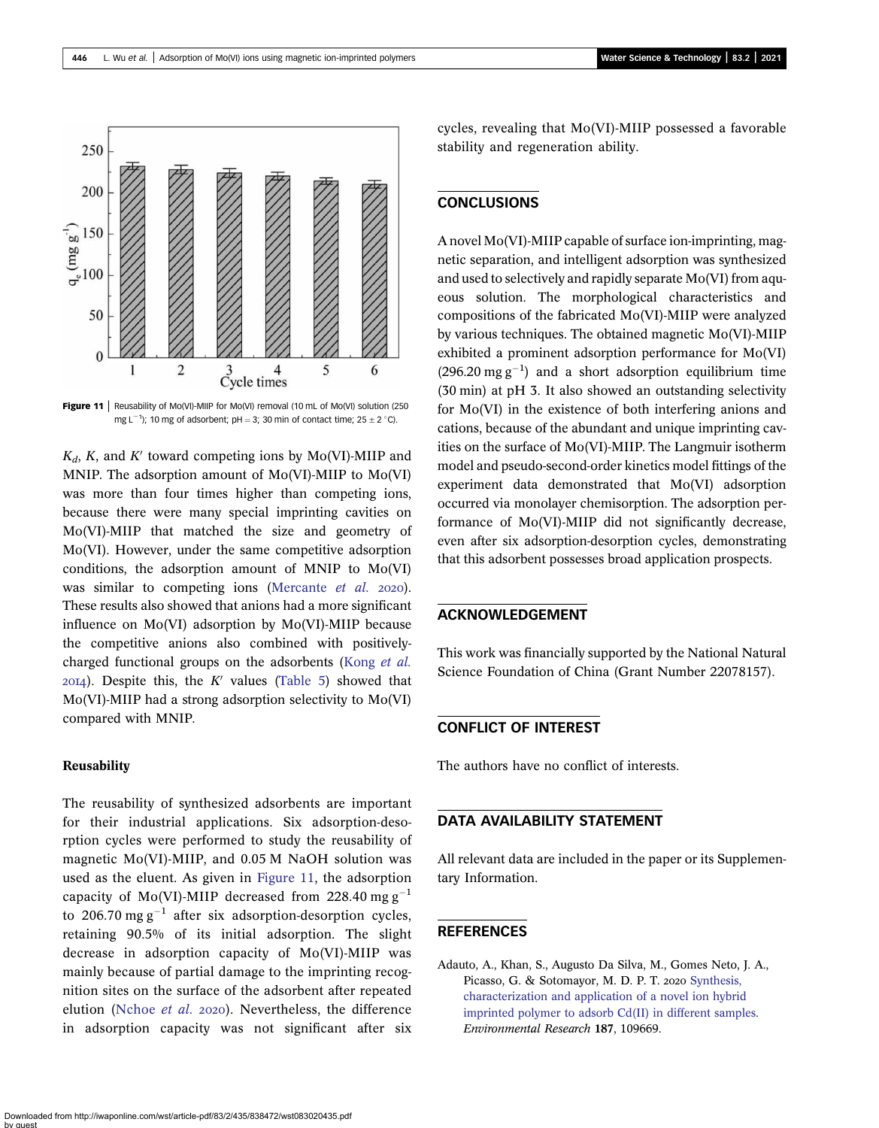<span id="page-11-0"></span>

Figure 11 | Reusability of Mo(VI)-MIIP for Mo(VI) removal (10 mL of Mo(VI) solution (250 mg L<sup>-1</sup>); 10 mg of adsorbent; pH = 3; 30 min of contact time; 25  $\pm$  2 °C).

 $K_d$ , K, and K' toward competing ions by Mo(VI)-MIIP and MNIP. The adsorption amount of Mo(VI)-MIIP to Mo(VI) was more than four times higher than competing ions, because there were many special imprinting cavities on Mo(VI)-MIIP that matched the size and geometry of Mo(VI). However, under the same competitive adsorption conditions, the adsorption amount of MNIP to Mo(VI) was similar to competing ions [\(Mercante](#page-13-0) *et al.* 2020). These results also showed that anions had a more significant influence on Mo(VI) adsorption by Mo(VI)-MIIP because the competitive anions also combined with positivelycharged functional groups on the adsorbents [\(Kong](#page-12-0) et al.  $20I4$ ). Despite this, the K' values [\(Table 5\)](#page-10-0) showed that Mo(VI)-MIIP had a strong adsorption selectivity to Mo(VI) compared with MNIP.

### **Reusability**

The reusability of synthesized adsorbents are important for their industrial applications. Six adsorption-desorption cycles were performed to study the reusability of magnetic Mo(VI)-MIIP, and 0.05 M NaOH solution was used as the eluent. As given in Figure 11, the adsorption capacity of Mo(VI)-MIIP decreased from 228.40 mg  $g^{-1}$ to 206.70 mg  $g^{-1}$  after six adsorption-desorption cycles, retaining 90.5% of its initial adsorption. The slight decrease in adsorption capacity of Mo(VI)-MIIP was mainly because of partial damage to the imprinting recognition sites on the surface of the adsorbent after repeated elution [\(Nchoe](#page-13-0) et al. 2020). Nevertheless, the difference in adsorption capacity was not significant after six cycles, revealing that Mo(VI)-MIIP possessed a favorable stability and regeneration ability.

# **CONCLUSIONS**

A novel Mo(VI)-MIIP capable of surface ion-imprinting, magnetic separation, and intelligent adsorption was synthesized and used to selectively and rapidly separate Mo(VI) from aqueous solution. The morphological characteristics and compositions of the fabricated Mo(VI)-MIIP were analyzed by various techniques. The obtained magnetic Mo(VI)-MIIP exhibited a prominent adsorption performance for Mo(VI)  $(296.20 \text{ mg g}^{-1})$  and a short adsorption equilibrium time (30 min) at pH 3. It also showed an outstanding selectivity for Mo(VI) in the existence of both interfering anions and cations, because of the abundant and unique imprinting cavities on the surface of Mo(VI)-MIIP. The Langmuir isotherm model and pseudo-second-order kinetics model fittings of the experiment data demonstrated that Mo(VI) adsorption occurred via monolayer chemisorption. The adsorption performance of Mo(VI)-MIIP did not significantly decrease, even after six adsorption-desorption cycles, demonstrating that this adsorbent possesses broad application prospects.

# ACKNOWLEDGEMENT

This work was financially supported by the National Natural Science Foundation of China (Grant Number 22078157).

### CONFLICT OF INTEREST

The authors have no conflict of interests.

### DATA AVAILABILITY STATEMENT

All relevant data are included in the paper or its Supplementary Information.

### **REFERENCES**

Adauto, A., Khan, S., Augusto Da Silva, M., Gomes Neto, J. A., Picasso, G. & Sotomayor, M. D. P. T. 2020 [Synthesis,](http://dx.doi.org/10.1016/j.envres.2020.109669) [characterization and application of a novel ion hybrid](http://dx.doi.org/10.1016/j.envres.2020.109669) [imprinted polymer to adsorb Cd\(II\) in different samples](http://dx.doi.org/10.1016/j.envres.2020.109669). Environmental Research 187, 109669.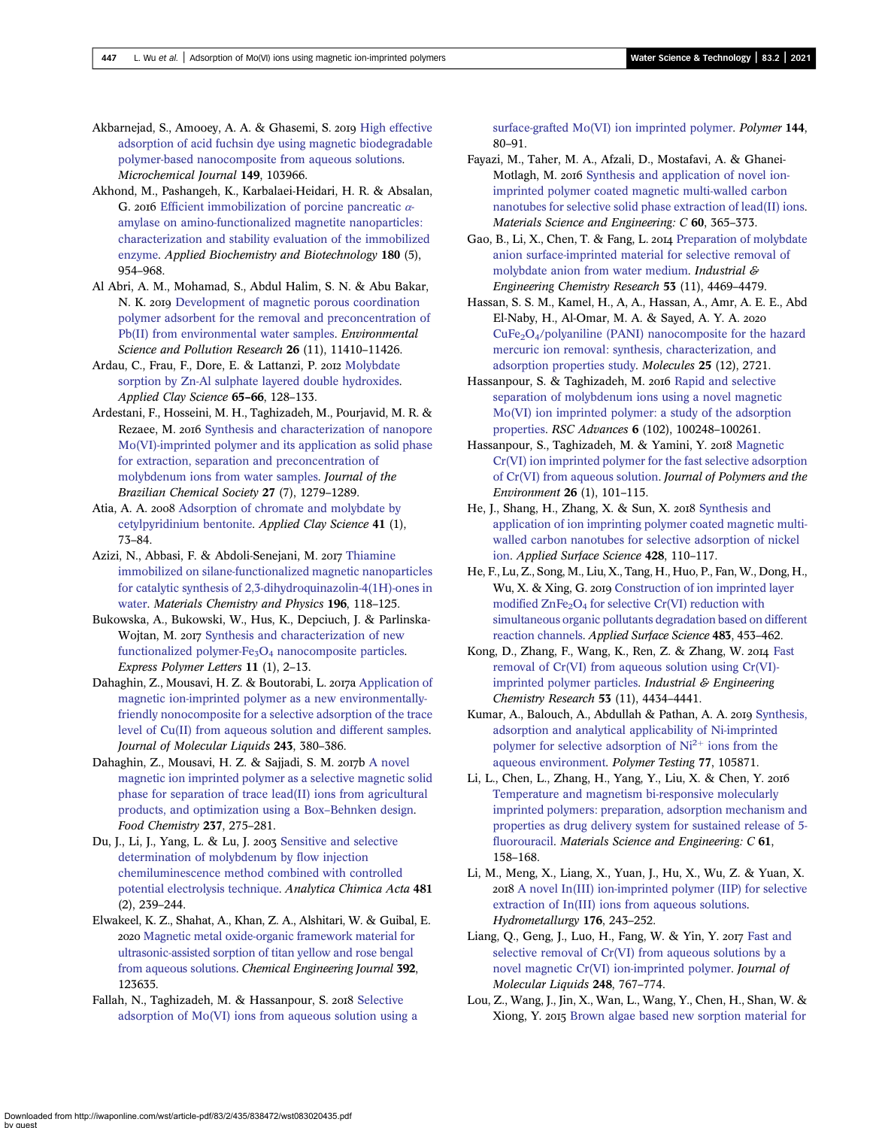<span id="page-12-0"></span>Akbarnejad, S., Amooey, A. A. & Ghasemi, S. 2019 [High effective](http://dx.doi.org/10.1016/j.microc.2019.103966) [adsorption of acid fuchsin dye using magnetic biodegradable](http://dx.doi.org/10.1016/j.microc.2019.103966) [polymer-based nanocomposite from aqueous solutions.](http://dx.doi.org/10.1016/j.microc.2019.103966) Microchemical Journal 149, 103966.

Akhond, M., Pashangeh, K., Karbalaei-Heidari, H. R. & Absalan, G. 2016 [Efficient immobilization of porcine pancreatic](http://dx.doi.org/10.1007/s12010-016-2145-1)  $\alpha$ [amylase on amino-functionalized magnetite nanoparticles:](http://dx.doi.org/10.1007/s12010-016-2145-1) [characterization and stability evaluation of the immobilized](http://dx.doi.org/10.1007/s12010-016-2145-1) [enzyme.](http://dx.doi.org/10.1007/s12010-016-2145-1) Applied Biochemistry and Biotechnology 180 (5), 954–968.

Al Abri, A. M., Mohamad, S., Abdul Halim, S. N. & Abu Bakar, N. K. 2019 [Development of magnetic porous coordination](http://dx.doi.org/10.1007/s11356-019-04467-w) [polymer adsorbent for the removal and preconcentration of](http://dx.doi.org/10.1007/s11356-019-04467-w) [Pb\(II\) from environmental water samples.](http://dx.doi.org/10.1007/s11356-019-04467-w) Environmental Science and Pollution Research 26 (11), 11410–11426.

Ardau, C., Frau, F., Dore, E. & Lattanzi, P. 2012 [Molybdate](http://dx.doi.org/10.1016/j.clay.2012.05.005) [sorption by Zn-Al sulphate layered double hydroxides.](http://dx.doi.org/10.1016/j.clay.2012.05.005) Applied Clay Science 65–66, 128–133.

Ardestani, F., Hosseini, M. H., Taghizadeh, M., Pourjavid, M. R. & Rezaee, M. 2016 [Synthesis and characterization of nanopore](http://dx.doi.org/10.5935/0103-5053.20160026) [Mo\(VI\)-imprinted polymer and its application as solid phase](http://dx.doi.org/10.5935/0103-5053.20160026) [for extraction, separation and preconcentration of](http://dx.doi.org/10.5935/0103-5053.20160026) [molybdenum ions from water samples.](http://dx.doi.org/10.5935/0103-5053.20160026) Journal of the Brazilian Chemical Society 27 (7), 1279–1289.

Atia, A. A. 2008 [Adsorption of chromate and molybdate by](http://dx.doi.org/10.1016/j.clay.2007.09.011) [cetylpyridinium bentonite.](http://dx.doi.org/10.1016/j.clay.2007.09.011) Applied Clay Science 41 (1), 73–84.

Azizi, N., Abbasi, F. & Abdoli-Senejani, M. 2017 [Thiamine](http://dx.doi.org/10.1016/j.matchemphys.2017.04.041) [immobilized on silane-functionalized magnetic nanoparticles](http://dx.doi.org/10.1016/j.matchemphys.2017.04.041) [for catalytic synthesis of 2,3-dihydroquinazolin-4\(1H\)-ones in](http://dx.doi.org/10.1016/j.matchemphys.2017.04.041) [water](http://dx.doi.org/10.1016/j.matchemphys.2017.04.041). Materials Chemistry and Physics 196, 118–125.

Bukowska, A., Bukowski, W., Hus, K., Depciuch, J. & Parlinska-Wojtan, M. 2017 [Synthesis and characterization of new](http://dx.doi.org/10.3144/expresspolymlett.2017.2) functionalized polymer-Fe<sub>3</sub>O<sub>4</sub> [nanocomposite particles](http://dx.doi.org/10.3144/expresspolymlett.2017.2). Express Polymer Letters 11 (1), 2–13.

Dahaghin, Z., Mousavi, H. Z. & Boutorabi, L. 2017a [Application of](http://dx.doi.org/10.1016/j.molliq.2017.08.018) [magnetic ion-imprinted polymer as a new environmentally](http://dx.doi.org/10.1016/j.molliq.2017.08.018)[friendly nonocomposite for a selective adsorption of the trace](http://dx.doi.org/10.1016/j.molliq.2017.08.018) [level of Cu\(II\) from aqueous solution and different samples](http://dx.doi.org/10.1016/j.molliq.2017.08.018). Journal of Molecular Liquids 243, 380–386.

Dahaghin, Z., Mousavi, H. Z. & Sajjadi, S. M. 2017b [A novel](http://dx.doi.org/10.1016/j.foodchem.2017.05.118) [magnetic ion imprinted polymer as a selective magnetic solid](http://dx.doi.org/10.1016/j.foodchem.2017.05.118) [phase for separation of trace lead\(II\) ions from agricultural](http://dx.doi.org/10.1016/j.foodchem.2017.05.118) [products, and optimization using a Box](http://dx.doi.org/10.1016/j.foodchem.2017.05.118)–Behnken design. Food Chemistry 237, 275–281.

Du, J., Li, J., Yang, L. & Lu, J. 2003 [Sensitive and selective](http://dx.doi.org/10.1016/S0003-2670(03)00083-7) [determination of molybdenum by flow injection](http://dx.doi.org/10.1016/S0003-2670(03)00083-7) [chemiluminescence method combined with controlled](http://dx.doi.org/10.1016/S0003-2670(03)00083-7) [potential electrolysis technique](http://dx.doi.org/10.1016/S0003-2670(03)00083-7). Analytica Chimica Acta 481 (2), 239–244.

Elwakeel, K. Z., Shahat, A., Khan, Z. A., Alshitari, W. & Guibal, E. 2020 [Magnetic metal oxide-organic framework material for](http://dx.doi.org/10.1016/j.cej.2019.123635) [ultrasonic-assisted sorption of titan yellow and rose bengal](http://dx.doi.org/10.1016/j.cej.2019.123635) [from aqueous solutions.](http://dx.doi.org/10.1016/j.cej.2019.123635) Chemical Engineering Journal 392, 123635.

Fallah, N., Taghizadeh, M. & Hassanpour, S. 2018 [Selective](http://dx.doi.org/10.1016/j.polymer.2018.04.043) [adsorption of Mo\(VI\) ions from aqueous solution using a](http://dx.doi.org/10.1016/j.polymer.2018.04.043) [surface-grafted Mo\(VI\) ion imprinted polymer](http://dx.doi.org/10.1016/j.polymer.2018.04.043). Polymer 144, 80–91.

Fayazi, M., Taher, M. A., Afzali, D., Mostafavi, A. & Ghanei-Motlagh, M. 2016 [Synthesis and application of novel ion](http://dx.doi.org/10.1016/j.msec.2015.11.060)[imprinted polymer coated magnetic multi-walled carbon](http://dx.doi.org/10.1016/j.msec.2015.11.060) [nanotubes for selective solid phase extraction of lead\(II\) ions](http://dx.doi.org/10.1016/j.msec.2015.11.060). Materials Science and Engineering: C 60, 365–373.

Gao, B., Li, X., Chen, T. & Fang, L. 2014 [Preparation of molybdate](http://dx.doi.org/10.1021/ie404321v) [anion surface-imprinted material for selective removal of](http://dx.doi.org/10.1021/ie404321v) [molybdate anion from water medium](http://dx.doi.org/10.1021/ie404321v). Industrial & Engineering Chemistry Research 53 (11), 4469–4479.

Hassan, S. S. M., Kamel, H., A, A., Hassan, A., Amr, A. E. E., Abd El-Naby, H., Al-Omar, M. A. & Sayed, A. Y. A.  $CuFe<sub>2</sub>O<sub>4</sub>/polyaniline (PANI) nanocomposite for the hazard$ [mercuric ion removal: synthesis, characterization, and](http://dx.doi.org/10.3390/molecules25122721) [adsorption properties study.](http://dx.doi.org/10.3390/molecules25122721) Molecules 25 (12), 2721.

Hassanpour, S. & Taghizadeh, M. 2016 [Rapid and selective](http://dx.doi.org/10.1039/C6RA20422H) [separation of molybdenum ions using a novel magnetic](http://dx.doi.org/10.1039/C6RA20422H) [Mo\(VI\) ion imprinted polymer: a study of the adsorption](http://dx.doi.org/10.1039/C6RA20422H) [properties](http://dx.doi.org/10.1039/C6RA20422H). RSC Advances 6 (102), 100248–100261.

Hassanpour, S., Taghizadeh, M. & Yamini, Y. 2018 [Magnetic](http://dx.doi.org/10.1007/s10924-016-0929-6) [Cr\(VI\) ion imprinted polymer for the fast selective adsorption](http://dx.doi.org/10.1007/s10924-016-0929-6) [of Cr\(VI\) from aqueous solution.](http://dx.doi.org/10.1007/s10924-016-0929-6) Journal of Polymers and the Environment 26 (1), 101–115.

He, J., Shang, H., Zhang, X. & Sun, X. 2018 [Synthesis and](http://dx.doi.org/10.1016/j.apsusc.2017.09.123) [application of ion imprinting polymer coated magnetic multi](http://dx.doi.org/10.1016/j.apsusc.2017.09.123)[walled carbon nanotubes for selective adsorption of nickel](http://dx.doi.org/10.1016/j.apsusc.2017.09.123) [ion.](http://dx.doi.org/10.1016/j.apsusc.2017.09.123) Applied Surface Science 428, 110–117.

He, F., Lu, Z., Song, M., Liu, X., Tang, H., Huo, P., Fan, W., Dong, H., Wu, X. & Xing, G. 2019 [Construction of ion imprinted layer](http://dx.doi.org/10.1016/j.apsusc.2019.03.311) modified  $\text{ZnFe}_2\text{O}_4$  [for selective Cr\(VI\) reduction with](http://dx.doi.org/10.1016/j.apsusc.2019.03.311) [simultaneous organic pollutants degradation based on different](http://dx.doi.org/10.1016/j.apsusc.2019.03.311) [reaction channels](http://dx.doi.org/10.1016/j.apsusc.2019.03.311). Applied Surface Science 483, 453–462.

Kong, D., Zhang, F., Wang, K., Ren, Z. & Zhang, W. 2014 [Fast](http://dx.doi.org/10.1021/ie403484p) [removal of Cr\(VI\) from aqueous solution using Cr\(VI\)](http://dx.doi.org/10.1021/ie403484p) [imprinted polymer particles.](http://dx.doi.org/10.1021/ie403484p) Industrial  $\mathcal E$  Engineering Chemistry Research 53 (11), 4434–4441.

Kumar, A., Balouch, A., Abdullah & Pathan, A. A. 2019 [Synthesis,](http://dx.doi.org/10.1016/j.polymertesting.2019.04.018) [adsorption and analytical applicability of Ni-imprinted](http://dx.doi.org/10.1016/j.polymertesting.2019.04.018) [polymer](http://dx.doi.org/10.1016/j.polymertesting.2019.04.018) [for](http://dx.doi.org/10.1016/j.polymertesting.2019.04.018) [selective](http://dx.doi.org/10.1016/j.polymertesting.2019.04.018) [adsorption](http://dx.doi.org/10.1016/j.polymertesting.2019.04.018) [of](http://dx.doi.org/10.1016/j.polymertesting.2019.04.018)  $Ni<sup>2+</sup>$  [ions from the](http://dx.doi.org/10.1016/j.polymertesting.2019.04.018) [aqueous environment](http://dx.doi.org/10.1016/j.polymertesting.2019.04.018). Polymer Testing 77, 105871.

Li, L., Chen, L., Zhang, H., Yang, Y., Liu, X. & Chen, Y. [Temperature and magnetism bi-responsive molecularly](http://dx.doi.org/10.1016/j.msec.2015.12.027) [imprinted polymers: preparation, adsorption mechanism and](http://dx.doi.org/10.1016/j.msec.2015.12.027) [properties as drug delivery system for sustained release of 5](http://dx.doi.org/10.1016/j.msec.2015.12.027) [fluorouracil.](http://dx.doi.org/10.1016/j.msec.2015.12.027) Materials Science and Engineering: C 61, 158–168.

Li, M., Meng, X., Liang, X., Yuan, J., Hu, X., Wu, Z. & Yuan, X. [A novel In\(III\) ion-imprinted polymer \(IIP\) for selective](http://dx.doi.org/10.1016/j.hydromet.2018.02.006) [extraction of In\(III\) ions from aqueous solutions.](http://dx.doi.org/10.1016/j.hydromet.2018.02.006) Hydrometallurgy 176, 243–252.

Liang, Q., Geng, J., Luo, H., Fang, W. & Yin, Y. 2017 [Fast and](http://dx.doi.org/10.1016/j.molliq.2017.10.114) [selective removal of Cr\(VI\) from aqueous solutions by a](http://dx.doi.org/10.1016/j.molliq.2017.10.114) [novel magnetic Cr\(VI\) ion-imprinted polymer](http://dx.doi.org/10.1016/j.molliq.2017.10.114). Journal of Molecular Liquids 248, 767–774.

Lou, Z., Wang, J., Jin, X., Wan, L., Wang, Y., Chen, H., Shan, W. & Xiong, Y. 2015 [Brown algae based new sorption material for](http://dx.doi.org/10.1016/j.cej.2015.03.054)

Downloaded from http://iwaponline.com/wst/article-pdf/83/2/435/838472/wst083020435.pdf by guest